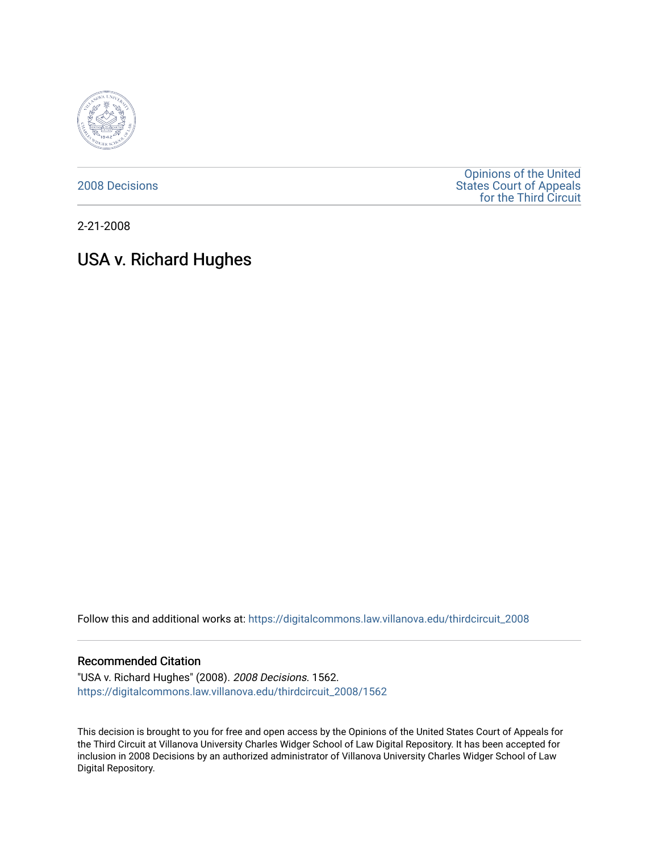

[2008 Decisions](https://digitalcommons.law.villanova.edu/thirdcircuit_2008)

[Opinions of the United](https://digitalcommons.law.villanova.edu/thirdcircuit)  [States Court of Appeals](https://digitalcommons.law.villanova.edu/thirdcircuit)  [for the Third Circuit](https://digitalcommons.law.villanova.edu/thirdcircuit) 

2-21-2008

# USA v. Richard Hughes

Follow this and additional works at: [https://digitalcommons.law.villanova.edu/thirdcircuit\\_2008](https://digitalcommons.law.villanova.edu/thirdcircuit_2008?utm_source=digitalcommons.law.villanova.edu%2Fthirdcircuit_2008%2F1562&utm_medium=PDF&utm_campaign=PDFCoverPages) 

#### Recommended Citation

"USA v. Richard Hughes" (2008). 2008 Decisions. 1562. [https://digitalcommons.law.villanova.edu/thirdcircuit\\_2008/1562](https://digitalcommons.law.villanova.edu/thirdcircuit_2008/1562?utm_source=digitalcommons.law.villanova.edu%2Fthirdcircuit_2008%2F1562&utm_medium=PDF&utm_campaign=PDFCoverPages) 

This decision is brought to you for free and open access by the Opinions of the United States Court of Appeals for the Third Circuit at Villanova University Charles Widger School of Law Digital Repository. It has been accepted for inclusion in 2008 Decisions by an authorized administrator of Villanova University Charles Widger School of Law Digital Repository.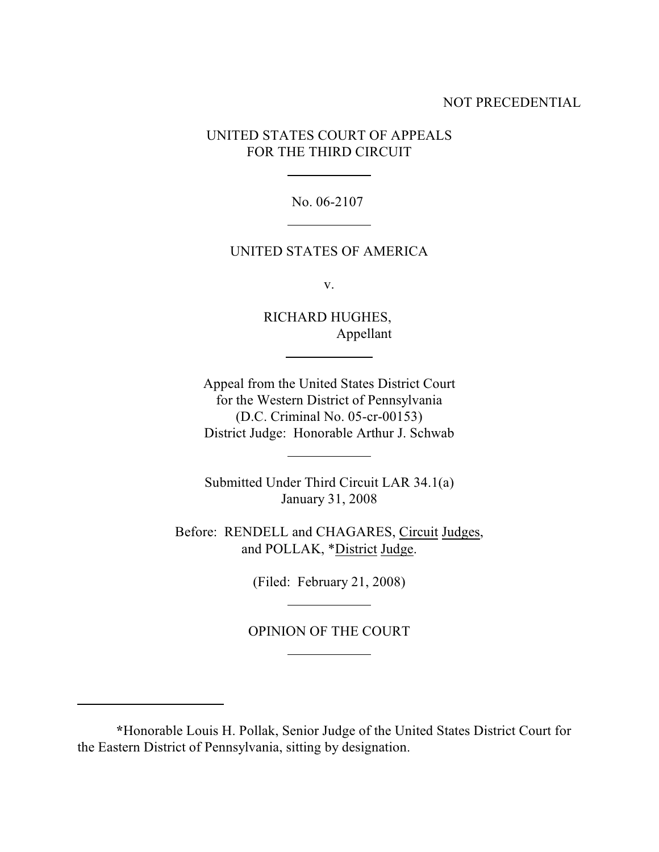## NOT PRECEDENTIAL

UNITED STATES COURT OF APPEALS FOR THE THIRD CIRCUIT

l

l

l

 $\overline{\phantom{a}}$ 

l

l

l

No. 06-2107

### UNITED STATES OF AMERICA

v.

RICHARD HUGHES, Appellant

Appeal from the United States District Court for the Western District of Pennsylvania (D.C. Criminal No. 05-cr-00153) District Judge: Honorable Arthur J. Schwab

Submitted Under Third Circuit LAR 34.1(a) January 31, 2008

Before: RENDELL and CHAGARES, Circuit Judges, and POLLAK, \*District Judge.

(Filed: February 21, 2008)

OPINION OF THE COURT

**<sup>\*</sup>**Honorable Louis H. Pollak, Senior Judge of the United States District Court for the Eastern District of Pennsylvania, sitting by designation.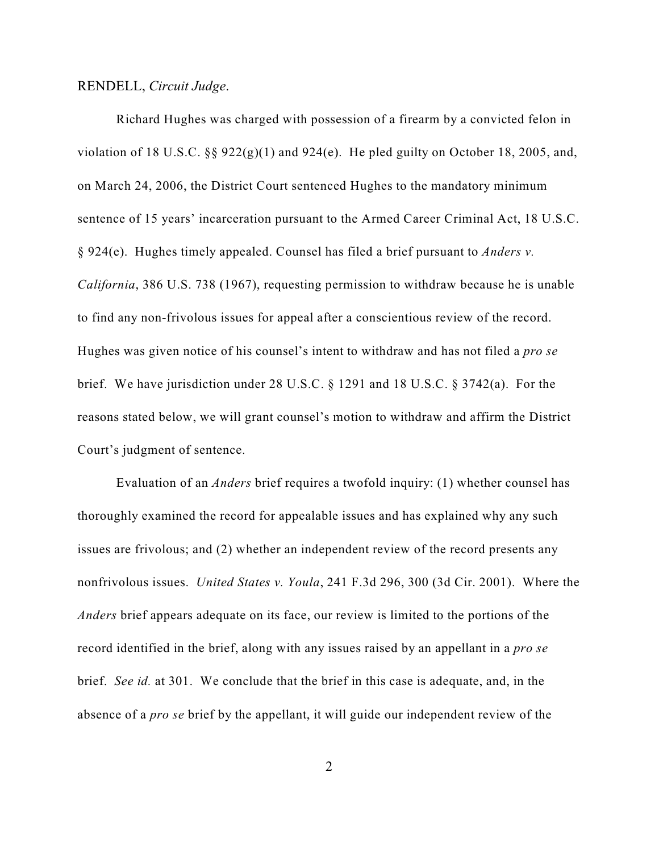#### RENDELL, *Circuit Judge*.

Richard Hughes was charged with possession of a firearm by a convicted felon in violation of 18 U.S.C.  $\S$  922(g)(1) and 924(e). He pled guilty on October 18, 2005, and, on March 24, 2006, the District Court sentenced Hughes to the mandatory minimum sentence of 15 years' incarceration pursuant to the Armed Career Criminal Act, 18 U.S.C. § 924(e). Hughes timely appealed. Counsel has filed a brief pursuant to *Anders v. California*, 386 U.S. 738 (1967), requesting permission to withdraw because he is unable to find any non-frivolous issues for appeal after a conscientious review of the record. Hughes was given notice of his counsel's intent to withdraw and has not filed a *pro se* brief. We have jurisdiction under 28 U.S.C. § 1291 and 18 U.S.C. § 3742(a). For the reasons stated below, we will grant counsel's motion to withdraw and affirm the District Court's judgment of sentence.

Evaluation of an *Anders* brief requires a twofold inquiry: (1) whether counsel has thoroughly examined the record for appealable issues and has explained why any such issues are frivolous; and (2) whether an independent review of the record presents any nonfrivolous issues. *United States v. Youla*, 241 F.3d 296, 300 (3d Cir. 2001). Where the *Anders* brief appears adequate on its face, our review is limited to the portions of the record identified in the brief, along with any issues raised by an appellant in a *pro se* brief. *See id.* at 301. We conclude that the brief in this case is adequate, and, in the absence of a *pro se* brief by the appellant, it will guide our independent review of the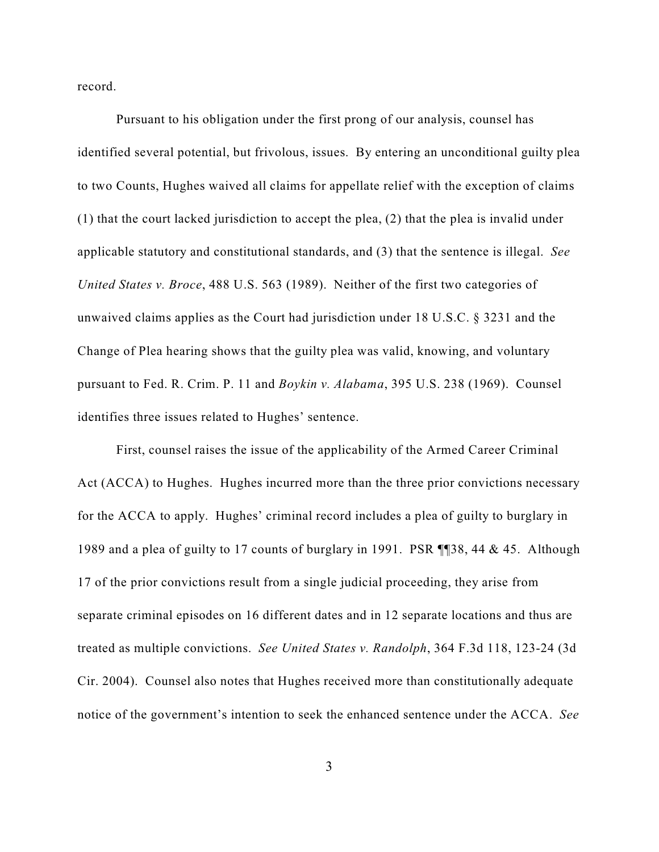record.

Pursuant to his obligation under the first prong of our analysis, counsel has identified several potential, but frivolous, issues. By entering an unconditional guilty plea to two Counts, Hughes waived all claims for appellate relief with the exception of claims (1) that the court lacked jurisdiction to accept the plea, (2) that the plea is invalid under applicable statutory and constitutional standards, and (3) that the sentence is illegal. *See United States v. Broce*, 488 U.S. 563 (1989). Neither of the first two categories of unwaived claims applies as the Court had jurisdiction under 18 U.S.C. § 3231 and the Change of Plea hearing shows that the guilty plea was valid, knowing, and voluntary pursuant to Fed. R. Crim. P. 11 and *Boykin v. Alabama*, 395 U.S. 238 (1969). Counsel identifies three issues related to Hughes' sentence.

First, counsel raises the issue of the applicability of the Armed Career Criminal Act (ACCA) to Hughes. Hughes incurred more than the three prior convictions necessary for the ACCA to apply. Hughes' criminal record includes a plea of guilty to burglary in 1989 and a plea of guilty to 17 counts of burglary in 1991. PSR ¶¶38, 44 & 45. Although 17 of the prior convictions result from a single judicial proceeding, they arise from separate criminal episodes on 16 different dates and in 12 separate locations and thus are treated as multiple convictions. *See United States v. Randolph*, 364 F.3d 118, 123-24 (3d Cir. 2004). Counsel also notes that Hughes received more than constitutionally adequate notice of the government's intention to seek the enhanced sentence under the ACCA. *See*